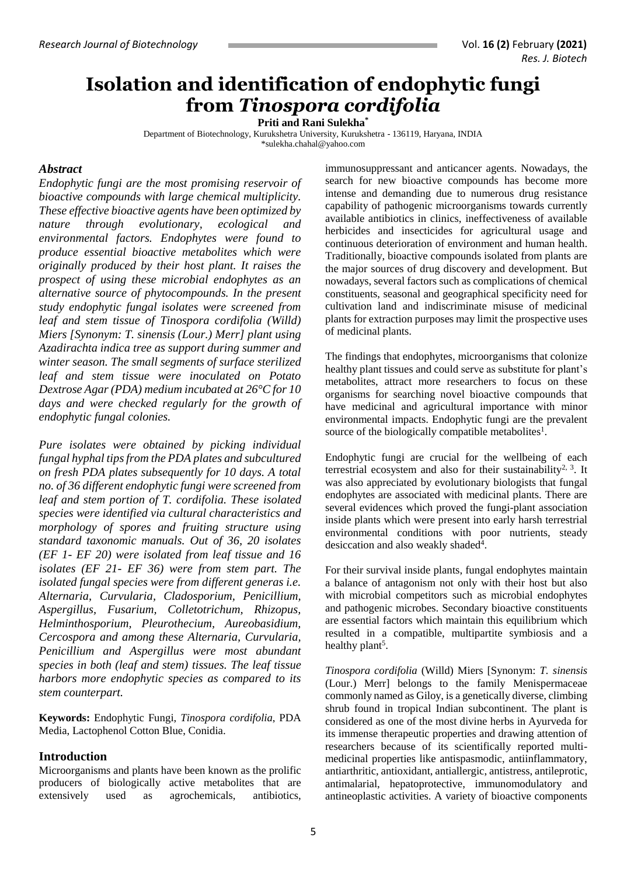### **Isolation and identification of endophytic fungi from** *Tinospora cordifolia*

**Priti and Rani Sulekha\***

Department of Biotechnology, Kurukshetra University, Kurukshetra - 136119, Haryana, INDIA [\\*sulekha.chahal@yahoo.com](mailto:sulekha.chahal@yahoo.com)

#### *Abstract*

*Endophytic fungi are the most promising reservoir of bioactive compounds with large chemical multiplicity. These effective bioactive agents have been optimized by nature through evolutionary, ecological and environmental factors. Endophytes were found to produce essential bioactive metabolites which were originally produced by their host plant. It raises the prospect of using these microbial endophytes as an alternative source of phytocompounds. In the present study endophytic fungal isolates were screened from leaf and stem tissue of Tinospora cordifolia (Willd) Miers [Synonym: T. sinensis (Lour.) Merr] plant using Azadirachta indica tree as support during summer and winter season. The small segments of surface sterilized leaf and stem tissue were inoculated on Potato Dextrose Agar (PDA) medium incubated at 26°C for 10 days and were checked regularly for the growth of endophytic fungal colonies.* 

*Pure isolates were obtained by picking individual fungal hyphal tips from the PDA plates and subcultured on fresh PDA plates subsequently for 10 days. A total no. of 36 different endophytic fungi were screened from leaf and stem portion of T. cordifolia. These isolated species were identified via cultural characteristics and morphology of spores and fruiting structure using standard taxonomic manuals. Out of 36, 20 isolates (EF 1- EF 20) were isolated from leaf tissue and 16 isolates (EF 21- EF 36) were from stem part. The isolated fungal species were from different generas i.e. Alternaria, Curvularia, Cladosporium, Penicillium, Aspergillus, Fusarium, Colletotrichum, Rhizopus, Helminthosporium, Pleurothecium, Aureobasidium, Cercospora and among these Alternaria, Curvularia, Penicillium and Aspergillus were most abundant species in both (leaf and stem) tissues. The leaf tissue harbors more endophytic species as compared to its stem counterpart.*

**Keywords:** Endophytic Fungi, *Tinospora cordifolia*, PDA Media, Lactophenol Cotton Blue, Conidia.

### **Introduction**

Microorganisms and plants have been known as the prolific producers of biologically active metabolites that are extensively used as agrochemicals, antibiotics,

immunosuppressant and anticancer agents. Nowadays, the search for new bioactive compounds has become more intense and demanding due to numerous drug resistance capability of pathogenic microorganisms towards currently available antibiotics in clinics, ineffectiveness of available herbicides and insecticides for agricultural usage and continuous deterioration of environment and human health. Traditionally, bioactive compounds isolated from plants are the major sources of drug discovery and development. But nowadays, several factors such as complications of chemical constituents, seasonal and geographical specificity need for cultivation land and indiscriminate misuse of medicinal plants for extraction purposes may limit the prospective uses of medicinal plants.

The findings that endophytes, microorganisms that colonize healthy plant tissues and could serve as substitute for plant's metabolites, attract more researchers to focus on these organisms for searching novel bioactive compounds that have medicinal and agricultural importance with minor environmental impacts. Endophytic fungi are the prevalent source of the biologically compatible metabolites<sup>1</sup>.

Endophytic fungi are crucial for the wellbeing of each terrestrial ecosystem and also for their sustainability<sup>2, 3</sup>. It was also appreciated by evolutionary biologists that fungal endophytes are associated with medicinal plants. There are several evidences which proved the fungi-plant association inside plants which were present into early harsh terrestrial environmental conditions with poor nutrients, steady desiccation and also weakly shaded<sup>4</sup>.

For their survival inside plants, fungal endophytes maintain a balance of antagonism not only with their host but also with microbial competitors such as microbial endophytes and pathogenic microbes. Secondary bioactive constituents are essential factors which maintain this equilibrium which resulted in a compatible, multipartite symbiosis and a healthy plant<sup>5</sup>.

*Tinospora cordifolia* (Willd) Miers [Synonym: *T. sinensis*  (Lour.) Merr] belongs to the family Menispermaceae commonly named as Giloy, is a genetically diverse, climbing shrub found in tropical Indian subcontinent. The plant is considered as one of the most divine herbs in Ayurveda for its immense therapeutic properties and drawing attention of researchers because of its scientifically reported multimedicinal properties like antispasmodic, antiinflammatory, antiarthritic, antioxidant, antiallergic, antistress, antileprotic, antimalarial, hepatoprotective, immunomodulatory and antineoplastic activities. A variety of bioactive components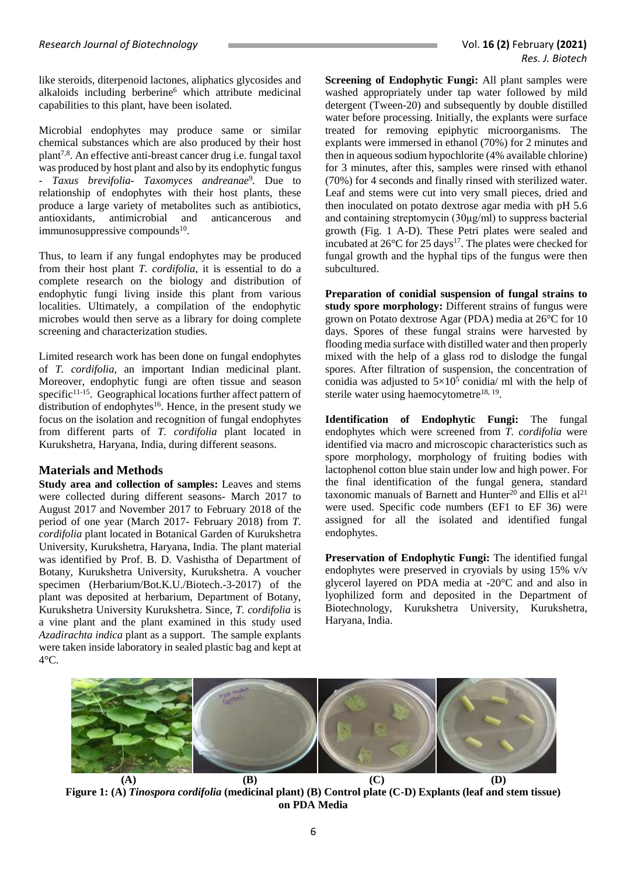like steroids, diterpenoid lactones, aliphatics glycosides and alkaloids including berberine<sup>6</sup> which attribute medicinal capabilities to this plant, have been isolated.

Microbial endophytes may produce same or similar chemical substances which are also produced by their host plant7,8. An effective anti-breast cancer drug i.e. fungal taxol was produced by host plant and also by its endophytic fungus - *Taxus brevifolia*- *Taxomyces andreanae*<sup>9</sup> *.* Due to relationship of endophytes with their host plants, these produce a large variety of metabolites such as antibiotics, antioxidants, antimicrobial and anticancerous and immunosuppressive compounds<sup>10</sup>.

Thus, to learn if any fungal endophytes may be produced from their host plant *T. cordifolia*, it is essential to do a complete research on the biology and distribution of endophytic fungi living inside this plant from various localities. Ultimately, a compilation of the endophytic microbes would then serve as a library for doing complete screening and characterization studies.

Limited research work has been done on fungal endophytes of *T. cordifolia,* an important Indian medicinal plant. Moreover, endophytic fungi are often tissue and season specific $11-15$ . Geographical locations further affect pattern of distribution of endophytes<sup>16</sup>. Hence, in the present study we focus on the isolation and recognition of fungal endophytes from different parts of *T. cordifolia* plant located in Kurukshetra, Haryana, India, during different seasons.

### **Materials and Methods**

**Study area and collection of samples:** Leaves and stems were collected during different seasons- March 2017 to August 2017 and November 2017 to February 2018 of the period of one year (March 2017- February 2018) from *T. cordifolia* plant located in Botanical Garden of Kurukshetra University, Kurukshetra, Haryana, India. The plant material was identified by Prof. B. D. Vashistha of Department of Botany, Kurukshetra University, Kurukshetra. A voucher specimen (Herbarium/Bot.K.U./Biotech.-3-2017) of the plant was deposited at herbarium, Department of Botany, Kurukshetra University Kurukshetra. Since, *T. cordifolia* is a vine plant and the plant examined in this study used *Azadirachta indica* plant as a support. The sample explants were taken inside laboratory in sealed plastic bag and kept at  $4^{\circ}$ C.

**Screening of Endophytic Fungi:** All plant samples were washed appropriately under tap water followed by mild detergent (Tween-20) and subsequently by double distilled water before processing. Initially, the explants were surface treated for removing epiphytic microorganisms. The explants were immersed in ethanol (70%) for 2 minutes and then in aqueous sodium hypochlorite (4% available chlorine) for 3 minutes, after this, samples were rinsed with ethanol (70%) for 4 seconds and finally rinsed with sterilized water. Leaf and stems were cut into very small pieces, dried and then inoculated on potato dextrose agar media with pH 5.6 and containing streptomycin (30μg/ml) to suppress bacterial growth (Fig. 1 A-D). These Petri plates were sealed and incubated at  $26^{\circ}$ C for 25 days<sup>17</sup>. The plates were checked for fungal growth and the hyphal tips of the fungus were then subcultured.

**Preparation of conidial suspension of fungal strains to study spore morphology:** Different strains of fungus were grown on Potato dextrose Agar (PDA) media at 26°C for 10 days. Spores of these fungal strains were harvested by flooding media surface with distilled water and then properly mixed with the help of a glass rod to dislodge the fungal spores. After filtration of suspension, the concentration of conidia was adjusted to  $5\times10^5$  conidia/ ml with the help of sterile water using haemocytometre<sup>18, 19</sup>.

**Identification of Endophytic Fungi:** The fungal endophytes which were screened from *T. cordifolia* were identified via macro and microscopic characteristics such as spore morphology, morphology of fruiting bodies with lactophenol cotton blue stain under low and high power. For the final identification of the fungal genera, standard taxonomic manuals of Barnett and Hunter<sup>20</sup> and Ellis et al<sup>21</sup> were used. Specific code numbers (EF1 to EF 36) were assigned for all the isolated and identified fungal endophytes.

**Preservation of Endophytic Fungi:** The identified fungal endophytes were preserved in cryovials by using 15% v/v glycerol layered on PDA media at -20°C and and also in lyophilized form and deposited in the Department of Biotechnology, Kurukshetra University, Kurukshetra, Haryana, India.



**Figure 1: (A)** *Tinospora cordifolia* **(medicinal plant) (B) Control plate (C-D) Explants (leaf and stem tissue) on PDA Media**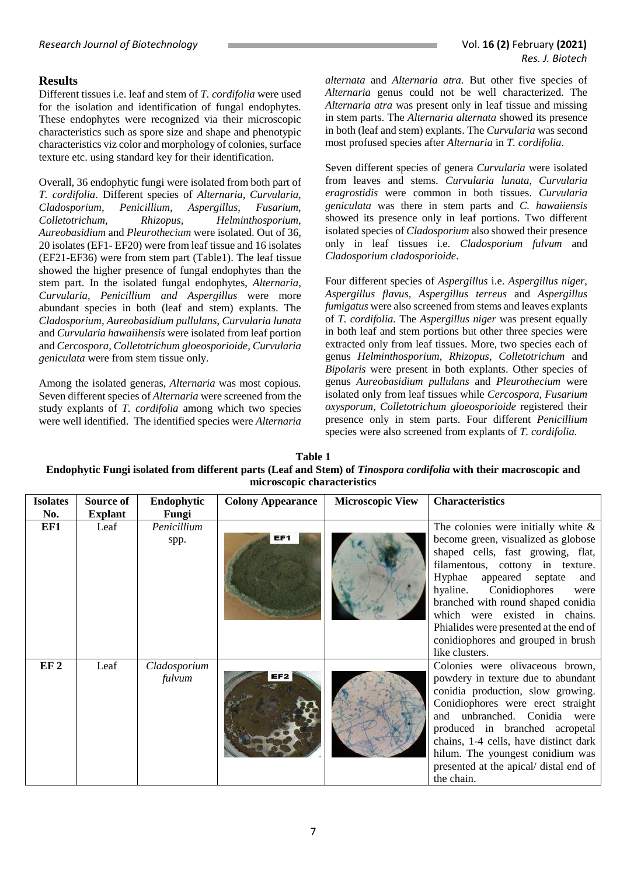### **Results**

Different tissues i.e. leaf and stem of *T. cordifolia* were used for the isolation and identification of fungal endophytes. These endophytes were recognized via their microscopic characteristics such as spore size and shape and phenotypic characteristics viz color and morphology of colonies, surface texture etc. using standard key for their identification.

Overall, 36 endophytic fungi were isolated from both part of *T. cordifolia*. Different species of *Alternaria, Curvularia, Cladosporium, Penicillium, Aspergillus, Fusarium, Colletotrichum, Rhizopus, Helminthosporium, Aureobasidium* and *Pleurothecium* were isolated. Out of 36, 20 isolates (EF1- EF20) were from leaf tissue and 16 isolates (EF21-EF36) were from stem part (Table1). The leaf tissue showed the higher presence of fungal endophytes than the stem part. In the isolated fungal endophytes, *Alternaria, Curvularia, Penicillium and Aspergillus* were more abundant species in both (leaf and stem) explants. The *Cladosporium*, *Aureobasidium pullulans*, *Curvularia lunata*  and *Curvularia hawaiihensis* were isolated from leaf portion and *Cercospora*, *Colletotrichum gloeosporioide*, *Curvularia geniculata* were from stem tissue only.

Among the isolated generas, *Alternaria* was most copious*.*  Seven different species of *Alternaria* were screened from the study explants of *T. cordifolia* among which two species were well identified. The identified species were *Alternaria*  *alternata* and *Alternaria atra.* But other five species of *Alternaria* genus could not be well characterized. The *Alternaria atra* was present only in leaf tissue and missing in stem parts. The *Alternaria alternata* showed its presence in both (leaf and stem) explants. The *Curvularia* was second most profused species after *Alternaria* in *T. cordifolia*.

Seven different species of genera *Curvularia* were isolated from leaves and stems. *Curvularia lunata*, *Curvularia eragrostidis* were common in both tissues. *Curvularia geniculata* was there in stem parts and *C. hawaiiensis*  showed its presence only in leaf portions. Two different isolated species of *Cladosporium* also showed their presence only in leaf tissues i.e. *Cladosporium fulvum* and *Cladosporium cladosporioide*.

Four different species of *Aspergillus* i.e. *Aspergillus niger*, *Aspergillus flavus, Aspergillus terreus* and *Aspergillus fumigatus* were also screened from stems and leaves explants of *T. cordifolia.* The *Aspergillus niger* was present equally in both leaf and stem portions but other three species were extracted only from leaf tissues. More, two species each of genus *Helminthosporium, Rhizopus*, *Colletotrichum* and *Bipolaris* were present in both explants. Other species of genus *Aureobasidium pullulans* and *Pleurothecium* were isolated only from leaf tissues while *Cercospora*, *Fusarium oxysporum*, *Colletotrichum gloeosporioide* registered their presence only in stem parts. Four different *Penicillium* species were also screened from explants of *T. cordifolia.*

**Table 1 Endophytic Fungi isolated from different parts (Leaf and Stem) of** *Tinospora cordifolia* **with their macroscopic and microscopic characteristics**

| <b>Isolates</b><br>No. | Source of<br><b>Explant</b> | Endophytic<br>Fungi    | <b>Colony Appearance</b> | <b>Microscopic View</b> | <b>Characteristics</b>                                                                                                                                                                                                                                                                                                                                                                                    |
|------------------------|-----------------------------|------------------------|--------------------------|-------------------------|-----------------------------------------------------------------------------------------------------------------------------------------------------------------------------------------------------------------------------------------------------------------------------------------------------------------------------------------------------------------------------------------------------------|
| EF1                    | Leaf                        | Penicillium<br>spp.    | EF1                      |                         | The colonies were initially white $\&$<br>become green, visualized as globose<br>shaped cells, fast growing, flat,<br>filamentous, cottony in texture.<br>Hyphae<br>appeared septate<br>and<br>Conidiophores<br>hyaline.<br>were<br>branched with round shaped conidia<br>which were existed in chains.<br>Phialides were presented at the end of<br>conidiophores and grouped in brush<br>like clusters. |
| EF <sub>2</sub>        | Leaf                        | Cladosporium<br>fulvum |                          |                         | Colonies were olivaceous brown,<br>powdery in texture due to abundant<br>conidia production, slow growing.<br>Conidiophores were erect straight<br>unbranched. Conidia were<br>and<br>produced in branched acropetal<br>chains, 1-4 cells, have distinct dark<br>hilum. The youngest conidium was<br>presented at the apical/distal end of<br>the chain.                                                  |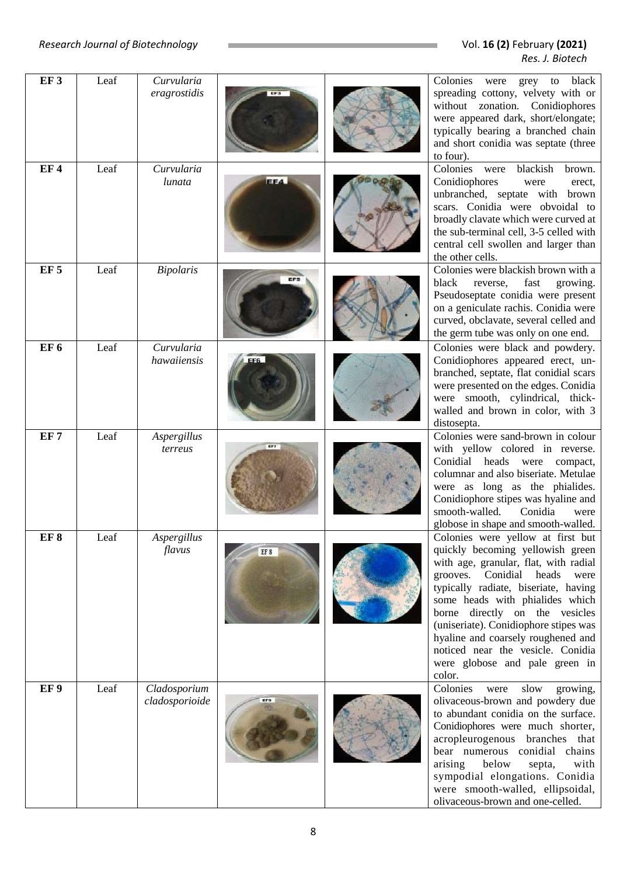| EF <sub>3</sub> | Leaf | Curvularia<br>eragrostidis     |      | Colonies were grey to black<br>spreading cottony, velvety with or<br>without zonation. Conidiophores<br>were appeared dark, short/elongate;<br>typically bearing a branched chain<br>and short conidia was septate (three<br>to four).                                                                                                                                                                                            |
|-----------------|------|--------------------------------|------|-----------------------------------------------------------------------------------------------------------------------------------------------------------------------------------------------------------------------------------------------------------------------------------------------------------------------------------------------------------------------------------------------------------------------------------|
| EF4             | Leaf | Curvularia<br>lunata           | EF4  | Colonies were<br>blackish<br>brown.<br>Conidiophores<br>were<br>erect,<br>unbranched, septate with brown<br>scars. Conidia were obvoidal to<br>broadly clavate which were curved at<br>the sub-terminal cell, 3-5 celled with<br>central cell swollen and larger than<br>the other cells.                                                                                                                                         |
| EF <sub>5</sub> | Leaf | <b>Bipolaris</b>               |      | Colonies were blackish brown with a<br>fast<br>black<br>reverse,<br>growing.<br>Pseudoseptate conidia were present<br>on a geniculate rachis. Conidia were<br>curved, obclavate, several celled and<br>the germ tube was only on one end.                                                                                                                                                                                         |
| EF <sub>6</sub> | Leaf | Curvularia<br>hawaiiensis      |      | Colonies were black and powdery.<br>Conidiophores appeared erect, un-<br>branched, septate, flat conidial scars<br>were presented on the edges. Conidia<br>were smooth, cylindrical, thick-<br>walled and brown in color, with 3<br>distosepta.                                                                                                                                                                                   |
| EF <sub>7</sub> | Leaf | Aspergillus<br>terreus         |      | Colonies were sand-brown in colour<br>with yellow colored in reverse.<br>Conidial heads were compact,<br>columnar and also biseriate. Metulae<br>were as long as the phialides.<br>Conidiophore stipes was hyaline and<br>smooth-walled.<br>Conidia<br>were<br>globose in shape and smooth-walled.                                                                                                                                |
| EF <sub>8</sub> | Leaf | Aspergillus<br>flavus          | EF 8 | Colonies were yellow at first but<br>quickly becoming yellowish green<br>with age, granular, flat, with radial<br>Conidial heads<br>grooves.<br>were<br>typically radiate, biseriate, having<br>some heads with phialides which<br>borne directly on the vesicles<br>(uniseriate). Conidiophore stipes was<br>hyaline and coarsely roughened and<br>noticed near the vesicle. Conidia<br>were globose and pale green in<br>color. |
| EF <sub>9</sub> | Leaf | Cladosporium<br>cladosporioide |      | Colonies<br>slow<br>growing,<br>were<br>olivaceous-brown and powdery due<br>to abundant conidia on the surface.<br>Conidiophores were much shorter,<br>acropleurogenous branches that<br>bear numerous conidial chains<br>arising<br>below<br>septa,<br>with<br>sympodial elongations. Conidia<br>were smooth-walled, ellipsoidal,<br>olivaceous-brown and one-celled.                                                            |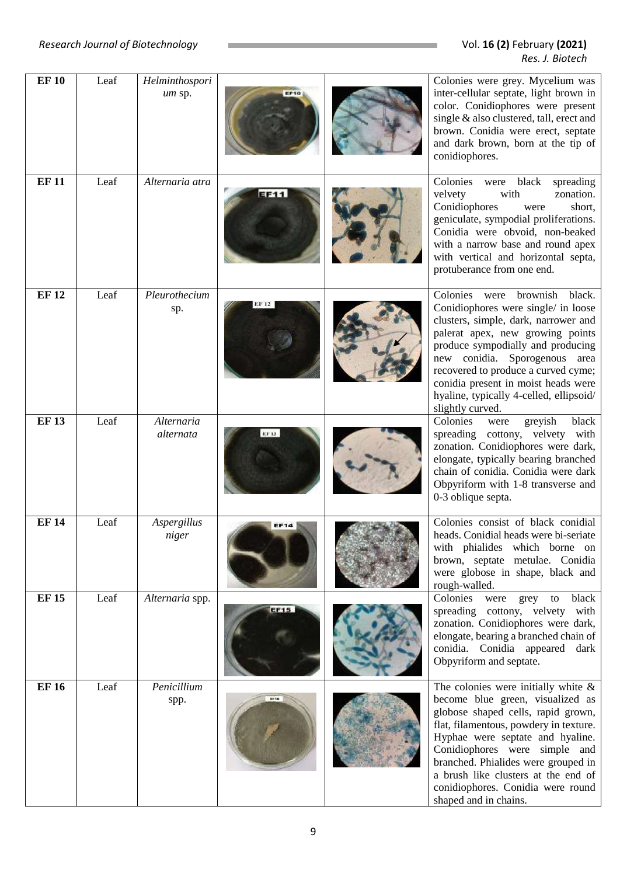| <b>EF10</b>  | Leaf | Helminthospori<br>um sp. | EF10        | Colonies were grey. Mycelium was<br>inter-cellular septate, light brown in<br>color. Conidiophores were present<br>single & also clustered, tall, erect and<br>brown. Conidia were erect, septate<br>and dark brown, born at the tip of<br>conidiophores.                                                                                                                   |
|--------------|------|--------------------------|-------------|-----------------------------------------------------------------------------------------------------------------------------------------------------------------------------------------------------------------------------------------------------------------------------------------------------------------------------------------------------------------------------|
| <b>EF11</b>  | Leaf | Alternaria atra          | EF11        | Colonies<br>black<br>were<br>spreading<br>velvety<br>zonation.<br>with<br>Conidiophores<br>short,<br>were<br>geniculate, sympodial proliferations.<br>Conidia were obvoid, non-beaked<br>with a narrow base and round apex<br>with vertical and horizontal septa,<br>protuberance from one end.                                                                             |
| <b>EF12</b>  | Leaf | Pleurothecium<br>sp.     |             | Colonies were<br>brownish<br>black.<br>Conidiophores were single/ in loose<br>clusters, simple, dark, narrower and<br>palerat apex, new growing points<br>produce sympodially and producing<br>new conidia. Sporogenous area<br>recovered to produce a curved cyme;<br>conidia present in moist heads were<br>hyaline, typically 4-celled, ellipsoid/<br>slightly curved.   |
| <b>EF13</b>  | Leaf | Alternaria<br>alternata  |             | Colonies<br>greyish<br>black<br>were<br>spreading cottony, velvety with<br>zonation. Conidiophores were dark,<br>elongate, typically bearing branched<br>chain of conidia. Conidia were dark<br>Obpyriform with 1-8 transverse and<br>0-3 oblique septa.                                                                                                                    |
| <b>EF14</b>  | Leaf | Aspergillus<br>niger     | <b>EF14</b> | Colonies consist of black conidial<br>heads. Conidial heads were bi-seriate<br>with phialides which borne on<br>brown, septate metulae. Conidia<br>were globose in shape, black and<br>rough-walled.                                                                                                                                                                        |
| <b>EF 15</b> | Leaf | Alternaria spp.          | <b>EF15</b> | Colonies<br>to black<br>were grey<br>spreading cottony, velvety with<br>zonation. Conidiophores were dark,<br>elongate, bearing a branched chain of<br>conidia. Conidia appeared dark<br>Obpyriform and septate.                                                                                                                                                            |
| <b>EF16</b>  | Leaf | Penicillium<br>spp.      | 82718       | The colonies were initially white $\&$<br>become blue green, visualized as<br>globose shaped cells, rapid grown,<br>flat, filamentous, powdery in texture.<br>Hyphae were septate and hyaline.<br>Conidiophores were simple and<br>branched. Phialides were grouped in<br>a brush like clusters at the end of<br>conidiophores. Conidia were round<br>shaped and in chains. |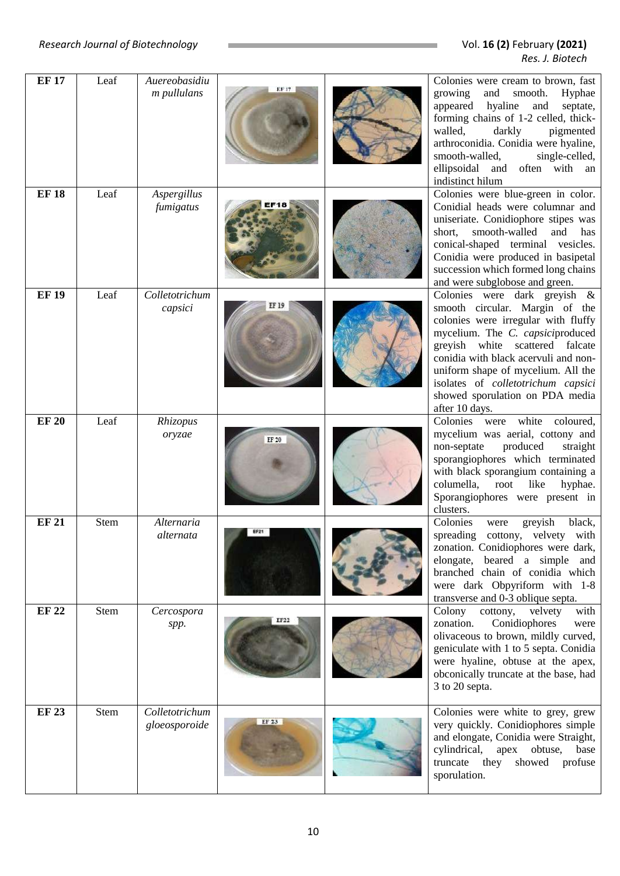| <b>EF17</b>  | Leaf        | Auereobasidiu                   |       | Colonies were cream to brown, fast                                                                                                                                                                                                                                                                                                                    |
|--------------|-------------|---------------------------------|-------|-------------------------------------------------------------------------------------------------------------------------------------------------------------------------------------------------------------------------------------------------------------------------------------------------------------------------------------------------------|
|              |             | m pullulans                     |       | growing<br>and<br>smooth.<br>Hyphae<br>hyaline<br>appeared<br>and<br>septate,<br>forming chains of 1-2 celled, thick-<br>walled,<br>darkly<br>pigmented<br>arthroconidia. Conidia were hyaline,<br>smooth-walled,<br>single-celled,<br>ellipsoidal and often with an<br>indistinct hilum                                                              |
| <b>EF18</b>  | Leaf        | Aspergillus<br>fumigatus        |       | Colonies were blue-green in color.<br>Conidial heads were columnar and<br>uniseriate. Conidiophore stipes was<br>smooth-walled<br>short,<br>and has<br>conical-shaped terminal vesicles.<br>Conidia were produced in basipetal<br>succession which formed long chains<br>and were subglobose and green.                                               |
| <b>EF19</b>  | Leaf        | Colletotrichum<br>capsici       | EF 19 | Colonies were dark greyish &<br>smooth circular. Margin of the<br>colonies were irregular with fluffy<br>mycelium. The C. capsiciproduced<br>greyish white scattered falcate<br>conidia with black acervuli and non-<br>uniform shape of mycelium. All the<br>isolates of colletotrichum capsici<br>showed sporulation on PDA media<br>after 10 days. |
| <b>EF 20</b> | Leaf        | Rhizopus<br>oryzae              |       | Colonies were white<br>coloured,<br>mycelium was aerial, cottony and<br>produced<br>straight<br>non-septate<br>sporangiophores which terminated<br>with black sporangium containing a<br>columella,<br>root<br>like<br>hyphae.<br>Sporangiophores were present in<br>clusters.                                                                        |
| <b>EF 21</b> | <b>Stem</b> | Alternaria<br>alternata         | EF21  | Colonies<br>black,<br>greyish<br>were<br>spreading cottony, velvety with<br>zonation. Conidiophores were dark,<br>elongate, beared a simple and<br>branched chain of conidia which<br>were dark Obpyriform with 1-8<br>transverse and 0-3 oblique septa.                                                                                              |
| <b>EF22</b>  | Stem        | Cercospora<br>spp.              |       | Colony<br>cottony, velvety<br>with<br>Conidiophores<br>zonation.<br>were<br>olivaceous to brown, mildly curved,<br>geniculate with 1 to 5 septa. Conidia<br>were hyaline, obtuse at the apex,<br>obconically truncate at the base, had<br>3 to 20 septa.                                                                                              |
| <b>EF 23</b> | Stem        | Colletotrichum<br>gloeosporoide | EF 23 | Colonies were white to grey, grew<br>very quickly. Conidiophores simple<br>and elongate, Conidia were Straight,<br>cylindrical, apex obtuse, base<br>truncate they showed profuse<br>sporulation.                                                                                                                                                     |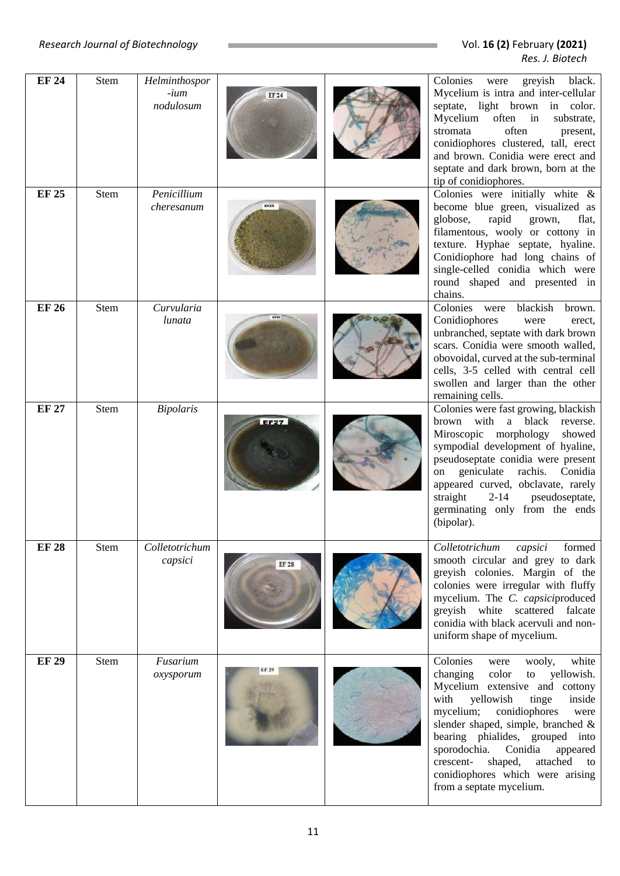| <b>EF 24</b> | Stem        | Helminthospor             |       | Colonies<br>greyish<br>black.<br>were                                                                                                                                                                                                                                                                                                                                                                                  |
|--------------|-------------|---------------------------|-------|------------------------------------------------------------------------------------------------------------------------------------------------------------------------------------------------------------------------------------------------------------------------------------------------------------------------------------------------------------------------------------------------------------------------|
|              |             | -ium<br>nodulosum         |       | Mycelium is intra and inter-cellular<br>septate, light brown in color.<br>Mycelium<br>often in<br>substrate,<br>stromata<br>often<br>present,<br>conidiophores clustered, tall, erect<br>and brown. Conidia were erect and<br>septate and dark brown, born at the<br>tip of conidiophores.                                                                                                                             |
| <b>EF 25</b> | Stem        | Penicillium<br>cheresanum |       | Colonies were initially white $\&$<br>become blue green, visualized as<br>globose,<br>rapid<br>grown,<br>flat,<br>filamentous, wooly or cottony in<br>texture. Hyphae septate, hyaline.<br>Conidiophore had long chains of<br>single-celled conidia which were<br>round shaped and presented in<br>chains.                                                                                                             |
| <b>EF 26</b> | <b>Stem</b> | Curvularia<br>lunata      |       | Colonies were<br>blackish<br>brown.<br>Conidiophores<br>were<br>erect.<br>unbranched, septate with dark brown<br>scars. Conidia were smooth walled,<br>obovoidal, curved at the sub-terminal<br>cells, 3-5 celled with central cell<br>swollen and larger than the other<br>remaining cells.                                                                                                                           |
| <b>EF 27</b> | Stem        | <b>Bipolaris</b>          |       | Colonies were fast growing, blackish<br>brown with<br>a black<br>reverse.<br>Miroscopic morphology<br>showed<br>sympodial development of hyaline,<br>pseudoseptate conidia were present<br>geniculate<br>rachis.<br>Conidia<br>on<br>appeared curved, obclavate, rarely<br>straight<br>pseudoseptate,<br>$2 - 14$<br>germinating only from the ends<br>(bipolar).                                                      |
| <b>EF 28</b> | Stem        | Colletotrichum<br>capsici | EF 28 | Colletotrichum<br>capsici<br>formed<br>smooth circular and grey to dark<br>greyish colonies. Margin of the<br>colonies were irregular with fluffy<br>mycelium. The C. capsiciproduced<br>greyish white scattered falcate<br>conidia with black acervuli and non-<br>uniform shape of mycelium.                                                                                                                         |
| <b>EF 29</b> | Stem        | Fusarium<br>oxysporum     |       | Colonies<br>wooly,<br>white<br>were<br>changing<br>color<br>yellowish.<br>to<br>Mycelium extensive and cottony<br>with<br>yellowish<br>tinge<br>inside<br>mycelium;<br>conidiophores<br>were<br>slender shaped, simple, branched &<br>bearing phialides, grouped into<br>sporodochia.<br>Conidia<br>appeared<br>crescent-<br>shaped,<br>attached<br>to<br>conidiophores which were arising<br>from a septate mycelium. |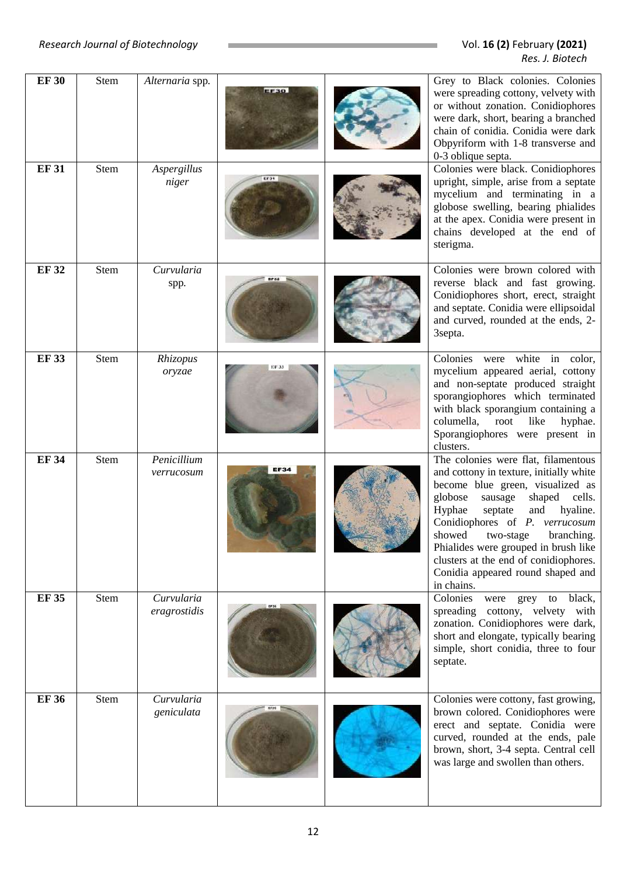| <b>EF30</b> | <b>Stem</b> | Alternaria spp.            | <b>EF30</b> | Grey to Black colonies. Colonies<br>were spreading cottony, velvety with<br>or without zonation. Conidiophores<br>were dark, short, bearing a branched<br>chain of conidia. Conidia were dark<br>Obpyriform with 1-8 transverse and<br>0-3 oblique septa.                                                                                                                                              |
|-------------|-------------|----------------------------|-------------|--------------------------------------------------------------------------------------------------------------------------------------------------------------------------------------------------------------------------------------------------------------------------------------------------------------------------------------------------------------------------------------------------------|
| <b>EF31</b> | Stem        | Aspergillus<br>niger       |             | Colonies were black. Conidiophores<br>upright, simple, arise from a septate<br>mycelium and terminating in a<br>globose swelling, bearing phialides<br>at the apex. Conidia were present in<br>chains developed at the end of<br>sterigma.                                                                                                                                                             |
| <b>EF32</b> | Stem        | Curvularia<br>spp.         |             | Colonies were brown colored with<br>reverse black and fast growing.<br>Conidiophores short, erect, straight<br>and septate. Conidia were ellipsoidal<br>and curved, rounded at the ends, 2-<br>3septa.                                                                                                                                                                                                 |
| <b>EF33</b> | Stem        | Rhizopus<br>oryzae         |             | Colonies were white in color,<br>mycelium appeared aerial, cottony<br>and non-septate produced straight<br>sporangiophores which terminated<br>with black sporangium containing a<br>columella, root like<br>hyphae.<br>Sporangiophores were present in<br>clusters.                                                                                                                                   |
| <b>EF34</b> | Stem        | Penicillium<br>verrucosum  | <b>EF34</b> | The colonies were flat, filamentous<br>and cottony in texture, initially white<br>become blue green, visualized as<br>globose<br>sausage<br>shaped cells.<br>Hyphae<br>septate<br>and<br>hyaline.<br>Conidiophores of P. verrucosum<br>showed two-stage branching.<br>Phialides were grouped in brush like<br>clusters at the end of conidiophores.<br>Conidia appeared round shaped and<br>in chains. |
| <b>EF35</b> | Stem        | Curvularia<br>eragrostidis |             | Colonies<br>were grey to black,<br>spreading cottony, velvety with<br>zonation. Conidiophores were dark,<br>short and elongate, typically bearing<br>simple, short conidia, three to four<br>septate.                                                                                                                                                                                                  |
| <b>EF36</b> | Stem        | Curvularia<br>geniculata   |             | Colonies were cottony, fast growing,<br>brown colored. Conidiophores were<br>erect and septate. Conidia were<br>curved, rounded at the ends, pale<br>brown, short, 3-4 septa. Central cell<br>was large and swollen than others.                                                                                                                                                                       |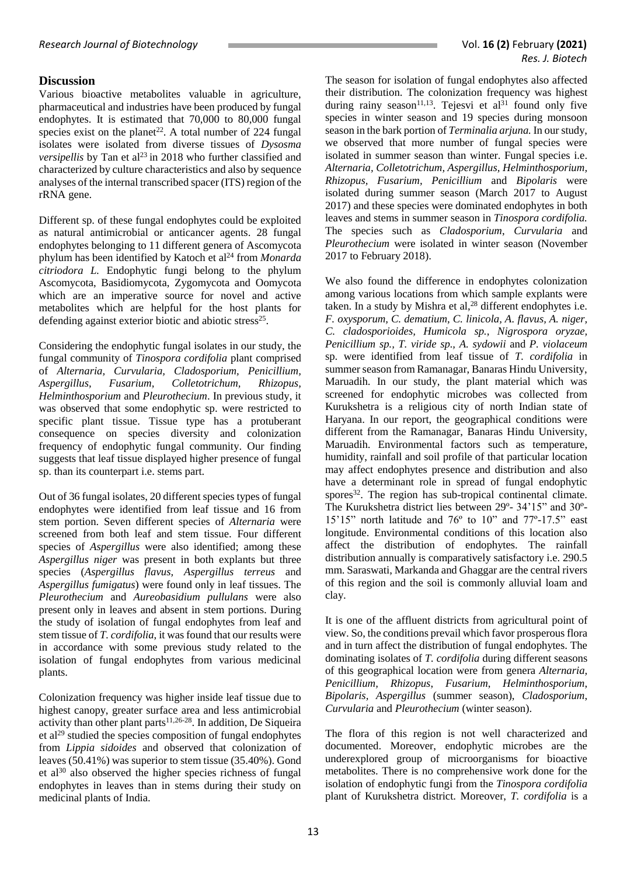### **Discussion**

Various bioactive metabolites valuable in agriculture, pharmaceutical and industries have been produced by fungal endophytes. It is estimated that 70,000 to 80,000 fungal species exist on the planet<sup>22</sup>. A total number of 224 fungal isolates were isolated from diverse tissues of *Dysosma versipellis* by Tan et al<sup>23</sup> in 2018 who further classified and characterized by culture characteristics and also by sequence analyses of the internal transcribed spacer (ITS) region of the rRNA gene.

Different sp. of these fungal endophytes could be exploited as natural antimicrobial or anticancer agents. 28 fungal endophytes belonging to 11 different genera of Ascomycota phylum has been identified by Katoch et al<sup>24</sup> from *Monarda citriodora L.* Endophytic fungi belong to the phylum Ascomycota, Basidiomycota, Zygomycota and Oomycota which are an imperative source for novel and active metabolites which are helpful for the host plants for defending against exterior biotic and abiotic stress<sup>25</sup>.

Considering the endophytic fungal isolates in our study, the fungal community of *Tinospora cordifolia* plant comprised of *Alternaria, Curvularia, Cladosporium, Penicillium, Aspergillus, Fusarium, Colletotrichum, Rhizopus, Helminthosporium* and *Pleurothecium*. In previous study, it was observed that some endophytic sp. were restricted to specific plant tissue. Tissue type has a protuberant consequence on species diversity and colonization frequency of endophytic fungal community. Our finding suggests that leaf tissue displayed higher presence of fungal sp. than its counterpart i.e. stems part.

Out of 36 fungal isolates, 20 different species types of fungal endophytes were identified from leaf tissue and 16 from stem portion. Seven different species of *Alternaria* were screened from both leaf and stem tissue. Four different species of *Aspergillus* were also identified; among these *Aspergillus niger* was present in both explants but three species (*Aspergillus flavus, Aspergillus terreus* and *Aspergillus fumigatus*) were found only in leaf tissues. The *Pleurothecium* and *Aureobasidium pullulans* were also present only in leaves and absent in stem portions. During the study of isolation of fungal endophytes from leaf and stem tissue of *T. cordifolia*, it was found that our results were in accordance with some previous study related to the isolation of fungal endophytes from various medicinal plants.

Colonization frequency was higher inside leaf tissue due to highest canopy, greater surface area and less antimicrobial activity than other plant parts<sup>11,26-28</sup>. In addition, De Siqueira et al<sup>29</sup> studied the species composition of fungal endophytes from *Lippia sidoides* and observed that colonization of leaves (50.41%) was superior to stem tissue (35.40%). Gond et al<sup>30</sup> also observed the higher species richness of fungal endophytes in leaves than in stems during their study on medicinal plants of India.

The season for isolation of fungal endophytes also affected their distribution. The colonization frequency was highest during rainy season<sup>11,13</sup>. Tejesvi et al<sup>31</sup> found only five species in winter season and 19 species during monsoon season in the bark portion of *Terminalia arjuna.* In our study, we observed that more number of fungal species were isolated in summer season than winter. Fungal species i.e. *Alternaria, Colletotrichum, Aspergillus, Helminthosporium, Rhizopus, Fusarium, Penicillium* and *Bipolaris* were isolated during summer season (March 2017 to August 2017) and these species were dominated endophytes in both leaves and stems in summer season in *Tinospora cordifolia.* The species such as *Cladosporium*, *Curvularia* and *Pleurothecium* were isolated in winter season (November 2017 to February 2018).

We also found the difference in endophytes colonization among various locations from which sample explants were taken. In a study by Mishra et al,<sup>28</sup> different endophytes i.e. *F. oxysporum, C. dematium, C. linicola, A. flavus, A. niger, C. cladosporioides, Humicola sp., Nigrospora oryzae, Penicillium sp., T. viride sp., A. sydowii* and *P. violaceum* sp. were identified from leaf tissue of *T. cordifolia* in summer season from Ramanagar, Banaras Hindu University, Maruadih. In our study, the plant material which was screened for endophytic microbes was collected from Kurukshetra is a religious city of north Indian state of Haryana. In our report, the geographical conditions were different from the Ramanagar, Banaras Hindu University, Maruadih. Environmental factors such as temperature, humidity, rainfall and soil profile of that particular location may affect endophytes presence and distribution and also have a determinant role in spread of fungal endophytic spores<sup>32</sup>. The region has sub-tropical continental climate. The Kurukshetra district lies between 29º- 34'15" and 30º-15'15" north latitude and 76º to 10" and 77º-17.5" east longitude. Environmental conditions of this location also affect the distribution of endophytes. The rainfall distribution annually is comparatively satisfactory i.e. 290.5 mm. Saraswati, Markanda and Ghaggar are the central rivers of this region and the soil is commonly alluvial loam and clay.

It is one of the affluent districts from agricultural point of view. So, the conditions prevail which favor prosperous flora and in turn affect the distribution of fungal endophytes. The dominating isolates of *T. cordifolia* during different seasons of this geographical location were from genera *Alternaria, Penicillium, Rhizopus*, *Fusarium*, *Helminthosporium*, *Bipolaris, Aspergillus* (summer season), *Cladosporium*, *Curvularia* and *Pleurothecium* (winter season).

The flora of this region is not well characterized and documented. Moreover, endophytic microbes are the underexplored group of microorganisms for bioactive metabolites. There is no comprehensive work done for the isolation of endophytic fungi from the *Tinospora cordifolia* plant of Kurukshetra district. Moreover, *T. cordifolia* is a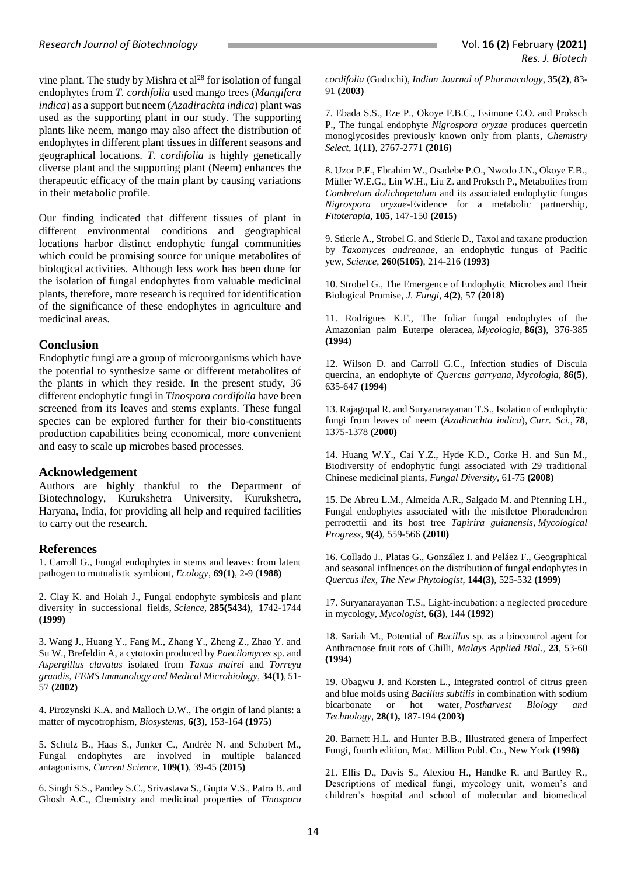vine plant. The study by Mishra et  $al^{28}$  for isolation of fungal endophytes from *T. cordifolia* used mango trees (*Mangifera indica*) as a support but neem (*Azadirachta indica*) plant was used as the supporting plant in our study. The supporting plants like neem, mango may also affect the distribution of endophytes in different plant tissues in different seasons and geographical locations. *T. cordifolia* is highly genetically diverse plant and the supporting plant (Neem) enhances the therapeutic efficacy of the main plant by causing variations in their metabolic profile.

Our finding indicated that different tissues of plant in different environmental conditions and geographical locations harbor distinct endophytic fungal communities which could be promising source for unique metabolites of biological activities. Although less work has been done for the isolation of fungal endophytes from valuable medicinal plants, therefore, more research is required for identification of the significance of these endophytes in agriculture and medicinal areas.

#### **Conclusion**

Endophytic fungi are a group of microorganisms which have the potential to synthesize same or different metabolites of the plants in which they reside. In the present study, 36 different endophytic fungi in *Tinospora cordifolia* have been screened from its leaves and stems explants. These fungal species can be explored further for their bio-constituents production capabilities being economical, more convenient and easy to scale up microbes based processes.

#### **Acknowledgement**

Authors are highly thankful to the Department of Biotechnology, Kurukshetra University, Kurukshetra, Haryana, India, for providing all help and required facilities to carry out the research.

#### **References**

1. Carroll G., Fungal endophytes in stems and leaves: from latent pathogen to mutualistic symbiont, *Ecology*, **69(1)**, 2-9 **(1988)**

2. Clay K. and Holah J., Fungal endophyte symbiosis and plant diversity in successional fields, *Science*, **285(5434)**, 1742-1744 **(1999)**

3. Wang J., Huang Y., Fang M., Zhang Y., Zheng Z., Zhao Y. and Su W., Brefeldin A, a cytotoxin produced by *Paecilomyces* sp. and *Aspergillus clavatus* isolated from *Taxus mairei* and *Torreya grandis*, *FEMS Immunology and Medical Microbiology*, **34(1)**, 51- 57 **(2002)**

4. Pirozynski K.A. and Malloch D.W., The origin of land plants: a matter of mycotrophism, *Biosystems*, **6(3)**, 153-164 **(1975)**

5. Schulz B., Haas S., Junker C., Andrée N. and Schobert M., Fungal endophytes are involved in multiple balanced antagonisms, *Current Science*, **109(1)**, 39-45 **(2015)**

6. Singh S.S., Pandey S.C., Srivastava S., Gupta V.S., Patro B. and Ghosh A.C., Chemistry and medicinal properties of *Tinospora*  *cordifolia* (Guduchi), *Indian Journal of Pharmacology*, **35(2)**, 83- 91 **(2003)**

7. Ebada S.S., Eze P., Okoye F.B.C., Esimone C.O. and Proksch P., The fungal endophyte *Nigrospora oryzae* produces quercetin monoglycosides previously known only from plants, *Chemistry Select*, **1(11)**, 2767-2771 **(2016)**

8. Uzor P.F., Ebrahim W., Osadebe P.O., Nwodo J.N., Okoye F.B., Müller W.E.G., Lin W.H., Liu Z. and Proksch P., Metabolites from *Combretum dolichopetalum* and its associated endophytic fungus *Nigrospora oryzae*-Evidence for a metabolic partnership, *Fitoterapia*, **105**, 147-150 **(2015)**

9. Stierle A., Strobel G. and Stierle D., Taxol and taxane production by *Taxomyces andreanae*, an endophytic fungus of Pacific yew, *Science*, **260(5105)**, 214-216 **(1993)**

10. Strobel G., The Emergence of Endophytic Microbes and Their Biological Promise, *J. Fungi,* **4(2)**, 57 **(2018)**

11. Rodrigues K.F., The foliar fungal endophytes of the Amazonian palm Euterpe oleracea, *Mycologia*, **86(3)**, 376-385 **(1994)**

12. Wilson D. and Carroll G.C., Infection studies of Discula quercina, an endophyte of *Quercus garryana*, *Mycologia*, **86(5)**, 635-647 **(1994)**

13. Rajagopal R. and Suryanarayanan T.S., Isolation of endophytic fungi from leaves of neem (*Azadirachta indica*), *Curr. Sci.*, **78**, 1375-1378 **(2000)**

14. Huang W.Y., Cai Y.Z., Hyde K.D., Corke H. and Sun M., Biodiversity of endophytic fungi associated with 29 traditional Chinese medicinal plants, *Fungal Diversity,* 61-75 **(2008)**

15. De Abreu L.M., Almeida A.R., Salgado M. and Pfenning LH., Fungal endophytes associated with the mistletoe Phoradendron perrottettii and its host tree *Tapirira guianensis*, *Mycological Progress*, **9(4)**, 559-566 **(2010)**

16. Collado J., Platas G., González I. and Peláez F., Geographical and seasonal influences on the distribution of fungal endophytes in *Quercus ilex*, *The New Phytologist*, **144(3)**, 525-532 **(1999)**

17. Suryanarayanan T.S., Light-incubation: a neglected procedure in mycology, *Mycologist*, **6(3)**, 144 **(1992)**

18. Sariah M., Potential of *Bacillus* sp. as a biocontrol agent for Anthracnose fruit rots of Chilli, *Malays Applied Biol*., **23**, 53-60 **(1994)**

19. Obagwu J. and Korsten L., Integrated control of citrus green and blue molds using *Bacillus subtilis* in combination with sodium bicarbonate or hot water, *Postharvest Biology and Technology*, **28(1),** 187-194 **(2003)**

20. Barnett H.L. and Hunter B.B., Illustrated genera of Imperfect Fungi, fourth edition, Mac. Million Publ. Co., New York **(1998)**

21. Ellis D., Davis S., Alexiou H., Handke R. and Bartley R., Descriptions of medical fungi, mycology unit, women's and children's hospital and school of molecular and biomedical